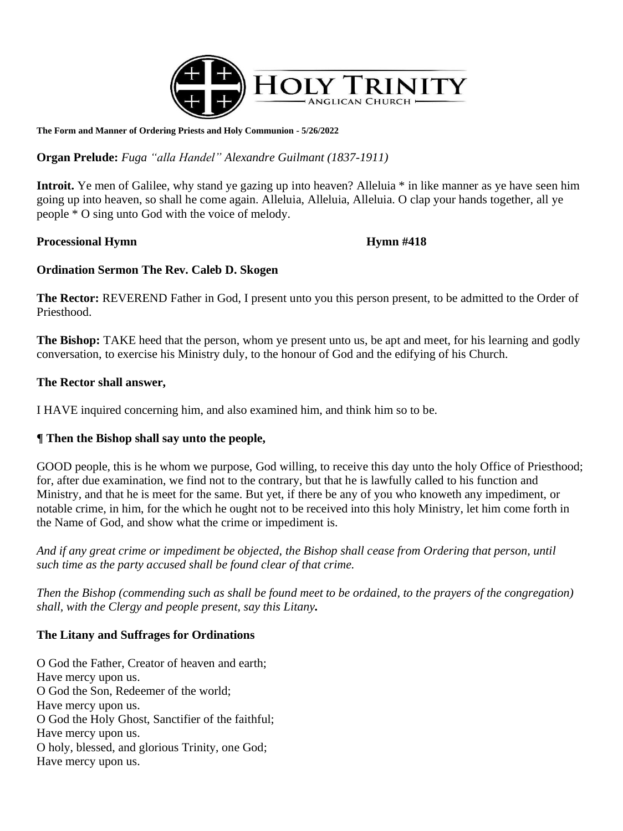

**The Form and Manner of Ordering Priests and Holy Communion - 5/26/2022**

**Organ Prelude:** *Fuga "alla Handel" Alexandre Guilmant (1837-1911)*

**Introit.** Ye men of Galilee, why stand ye gazing up into heaven? Alleluia \* in like manner as ye have seen him going up into heaven, so shall he come again. Alleluia, Alleluia, Alleluia. O clap your hands together, all ye people \* O sing unto God with the voice of melody.

## **Processional Hymn**  $\mu$  **Hymn** #418

## **Ordination Sermon The Rev. Caleb D. Skogen**

**The Rector:** REVEREND Father in God, I present unto you this person present, to be admitted to the Order of Priesthood.

**The Bishop:** TAKE heed that the person, whom ye present unto us, be apt and meet, for his learning and godly conversation, to exercise his Ministry duly, to the honour of God and the edifying of his Church.

## **The Rector shall answer,**

I HAVE inquired concerning him, and also examined him, and think him so to be.

## **¶ Then the Bishop shall say unto the people,**

GOOD people, this is he whom we purpose, God willing, to receive this day unto the holy Office of Priesthood; for, after due examination, we find not to the contrary, but that he is lawfully called to his function and Ministry, and that he is meet for the same. But yet, if there be any of you who knoweth any impediment, or notable crime, in him, for the which he ought not to be received into this holy Ministry, let him come forth in the Name of God, and show what the crime or impediment is.

*And if any great crime or impediment be objected, the Bishop shall cease from Ordering that person, until such time as the party accused shall be found clear of that crime.*

*Then the Bishop (commending such as shall be found meet to be ordained, to the prayers of the congregation) shall, with the Clergy and people present, say this Litany.*

## **The Litany and Suffrages for Ordinations**

O God the Father, Creator of heaven and earth; Have mercy upon us. O God the Son, Redeemer of the world; Have mercy upon us. O God the Holy Ghost, Sanctifier of the faithful; Have mercy upon us. O holy, blessed, and glorious Trinity, one God; Have mercy upon us.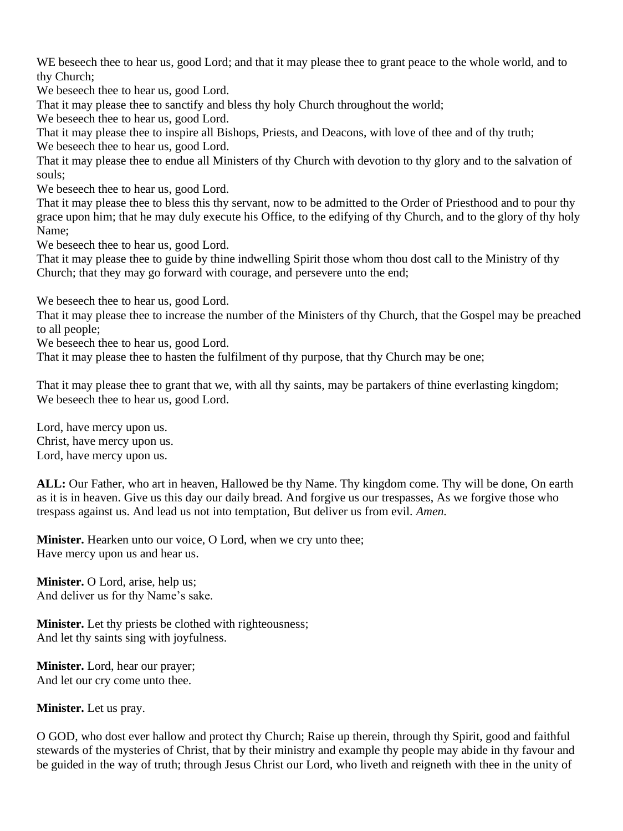WE beseech thee to hear us, good Lord; and that it may please thee to grant peace to the whole world, and to thy Church;

We beseech thee to hear us, good Lord.

That it may please thee to sanctify and bless thy holy Church throughout the world;

We beseech thee to hear us, good Lord.

That it may please thee to inspire all Bishops, Priests, and Deacons, with love of thee and of thy truth; We beseech thee to hear us, good Lord.

That it may please thee to endue all Ministers of thy Church with devotion to thy glory and to the salvation of souls;

We beseech thee to hear us, good Lord.

That it may please thee to bless this thy servant, now to be admitted to the Order of Priesthood and to pour thy grace upon him; that he may duly execute his Office, to the edifying of thy Church, and to the glory of thy holy Name;

We beseech thee to hear us, good Lord.

That it may please thee to guide by thine indwelling Spirit those whom thou dost call to the Ministry of thy Church; that they may go forward with courage, and persevere unto the end;

We beseech thee to hear us, good Lord.

That it may please thee to increase the number of the Ministers of thy Church, that the Gospel may be preached to all people;

We beseech thee to hear us, good Lord.

That it may please thee to hasten the fulfilment of thy purpose, that thy Church may be one;

That it may please thee to grant that we, with all thy saints, may be partakers of thine everlasting kingdom; We beseech thee to hear us, good Lord.

Lord, have mercy upon us. Christ, have mercy upon us. Lord, have mercy upon us.

**ALL:** Our Father, who art in heaven, Hallowed be thy Name. Thy kingdom come. Thy will be done, On earth as it is in heaven. Give us this day our daily bread. And forgive us our trespasses, As we forgive those who trespass against us. And lead us not into temptation, But deliver us from evil. *Amen.*

**Minister.** Hearken unto our voice, O Lord, when we cry unto thee; Have mercy upon us and hear us.

**Minister.** O Lord, arise, help us; And deliver us for thy Name's sake.

**Minister.** Let thy priests be clothed with righteousness; And let thy saints sing with joyfulness.

**Minister.** Lord, hear our prayer; And let our cry come unto thee.

**Minister.** Let us pray.

O GOD, who dost ever hallow and protect thy Church; Raise up therein, through thy Spirit, good and faithful stewards of the mysteries of Christ, that by their ministry and example thy people may abide in thy favour and be guided in the way of truth; through Jesus Christ our Lord, who liveth and reigneth with thee in the unity of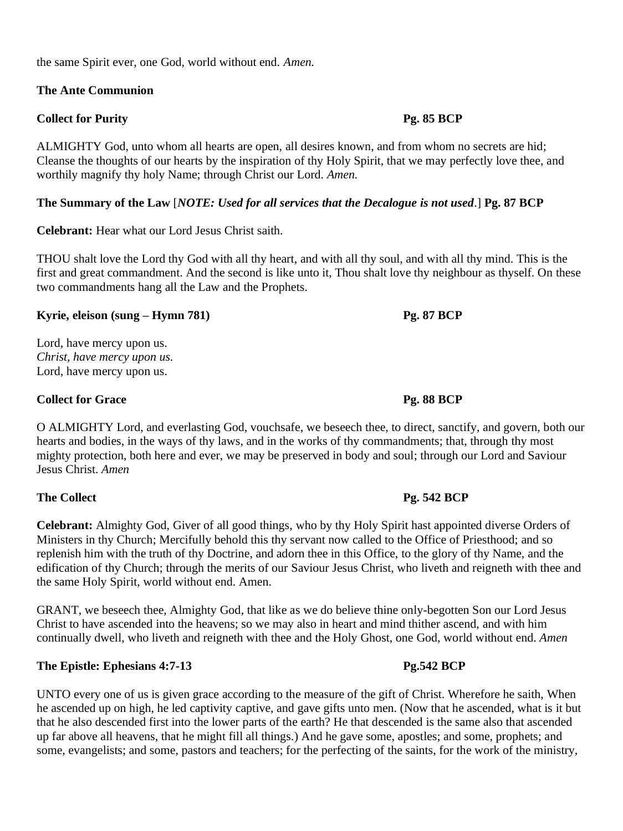the same Spirit ever, one God, world without end. *Amen.*

## **The Ante Communion**

## **Collect for Purity Pg. 85 BCP**

ALMIGHTY God, unto whom all hearts are open, all desires known, and from whom no secrets are hid; Cleanse the thoughts of our hearts by the inspiration of thy Holy Spirit, that we may perfectly love thee, and worthily magnify thy holy Name; through Christ our Lord. *Amen.*

## **The Summary of the Law** [*NOTE: Used for all services that the Decalogue is not used*.] **Pg. 87 BCP**

**Celebrant:** Hear what our Lord Jesus Christ saith.

THOU shalt love the Lord thy God with all thy heart, and with all thy soul, and with all thy mind. This is the first and great commandment. And the second is like unto it, Thou shalt love thy neighbour as thyself. On these two commandments hang all the Law and the Prophets.

## **Kyrie, eleison (sung – Hymn 781) Pg. 87 BCP**

Lord, have mercy upon us. *Christ, have mercy upon us.*  Lord, have mercy upon us.

## **Collect for Grace** Pg. 88 **BCP**

O ALMIGHTY Lord, and everlasting God, vouchsafe, we beseech thee, to direct, sanctify, and govern, both our hearts and bodies, in the ways of thy laws, and in the works of thy commandments; that, through thy most mighty protection, both here and ever, we may be preserved in body and soul; through our Lord and Saviour Jesus Christ. *Amen*

## **The Collect Pg. 542 BCP**

**Celebrant:** Almighty God, Giver of all good things, who by thy Holy Spirit hast appointed diverse Orders of Ministers in thy Church; Mercifully behold this thy servant now called to the Office of Priesthood; and so replenish him with the truth of thy Doctrine, and adorn thee in this Office, to the glory of thy Name, and the edification of thy Church; through the merits of our Saviour Jesus Christ, who liveth and reigneth with thee and the same Holy Spirit, world without end. Amen.

GRANT, we beseech thee, Almighty God, that like as we do believe thine only-begotten Son our Lord Jesus Christ to have ascended into the heavens; so we may also in heart and mind thither ascend, and with him continually dwell, who liveth and reigneth with thee and the Holy Ghost, one God, world without end. *Amen*

## The Epistle: Ephesians 4:7-13 Pg.542 BCP

UNTO every one of us is given grace according to the measure of the gift of Christ. Wherefore he saith, When he ascended up on high, he led captivity captive, and gave gifts unto men. (Now that he ascended, what is it but that he also descended first into the lower parts of the earth? He that descended is the same also that ascended up far above all heavens, that he might fill all things.) And he gave some, apostles; and some, prophets; and some, evangelists; and some, pastors and teachers; for the perfecting of the saints, for the work of the ministry,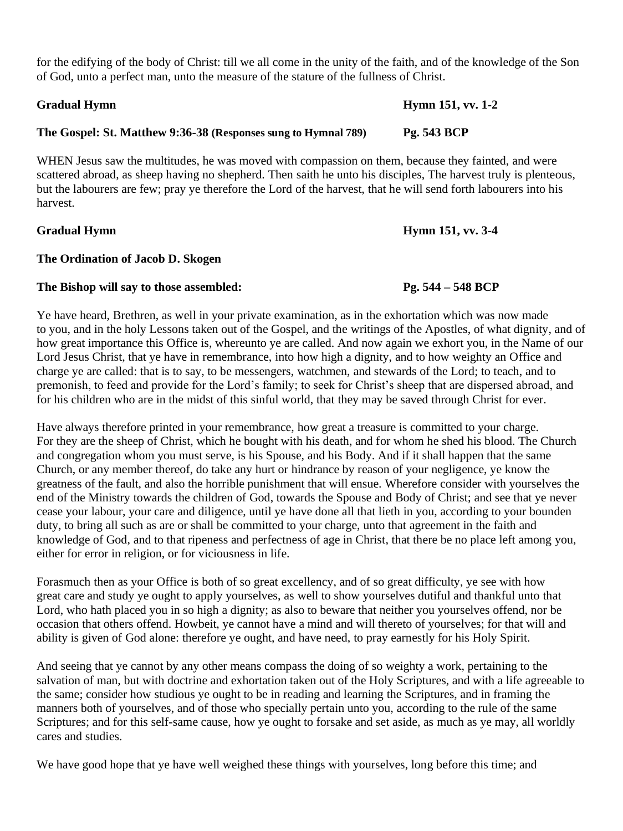for the edifying of the body of Christ: till we all come in the unity of the faith, and of the knowledge of the Son of God, unto a perfect man, unto the measure of the stature of the fullness of Christ.

## **Gradual Hymn Hymn 151, vv. 1-2**

### **The Gospel: St. Matthew 9:36-38 (Responses sung to Hymnal 789) Pg. 543 BCP**

WHEN Jesus saw the multitudes, he was moved with compassion on them, because they fainted, and were scattered abroad, as sheep having no shepherd. Then saith he unto his disciples, The harvest truly is plenteous, but the labourers are few; pray ye therefore the Lord of the harvest, that he will send forth labourers into his harvest.

## **Gradual Hymn Hymn 151, vv. 3-4**

## **The Ordination of Jacob D. Skogen**

### **The Bishop will say to those assembled: Pg. 544 – 548 BCP**

Ye have heard, Brethren, as well in your private examination, as in the exhortation which was now made to you, and in the holy Lessons taken out of the Gospel, and the writings of the Apostles, of what dignity, and of how great importance this Office is, whereunto ye are called. And now again we exhort you, in the Name of our Lord Jesus Christ, that ye have in remembrance, into how high a dignity, and to how weighty an Office and charge ye are called: that is to say, to be messengers, watchmen, and stewards of the Lord; to teach, and to premonish, to feed and provide for the Lord's family; to seek for Christ's sheep that are dispersed abroad, and for his children who are in the midst of this sinful world, that they may be saved through Christ for ever.

Have always therefore printed in your remembrance, how great a treasure is committed to your charge. For they are the sheep of Christ, which he bought with his death, and for whom he shed his blood. The Church and congregation whom you must serve, is his Spouse, and his Body. And if it shall happen that the same Church, or any member thereof, do take any hurt or hindrance by reason of your negligence, ye know the greatness of the fault, and also the horrible punishment that will ensue. Wherefore consider with yourselves the end of the Ministry towards the children of God, towards the Spouse and Body of Christ; and see that ye never cease your labour, your care and diligence, until ye have done all that lieth in you, according to your bounden duty, to bring all such as are or shall be committed to your charge, unto that agreement in the faith and knowledge of God, and to that ripeness and perfectness of age in Christ, that there be no place left among you, either for error in religion, or for viciousness in life.

Forasmuch then as your Office is both of so great excellency, and of so great difficulty, ye see with how great care and study ye ought to apply yourselves, as well to show yourselves dutiful and thankful unto that Lord, who hath placed you in so high a dignity; as also to beware that neither you yourselves offend, nor be occasion that others offend. Howbeit, ye cannot have a mind and will thereto of yourselves; for that will and ability is given of God alone: therefore ye ought, and have need, to pray earnestly for his Holy Spirit.

And seeing that ye cannot by any other means compass the doing of so weighty a work, pertaining to the salvation of man, but with doctrine and exhortation taken out of the Holy Scriptures, and with a life agreeable to the same; consider how studious ye ought to be in reading and learning the Scriptures, and in framing the manners both of yourselves, and of those who specially pertain unto you, according to the rule of the same Scriptures; and for this self-same cause, how ye ought to forsake and set aside, as much as ye may, all worldly cares and studies.

We have good hope that ye have well weighed these things with yourselves, long before this time; and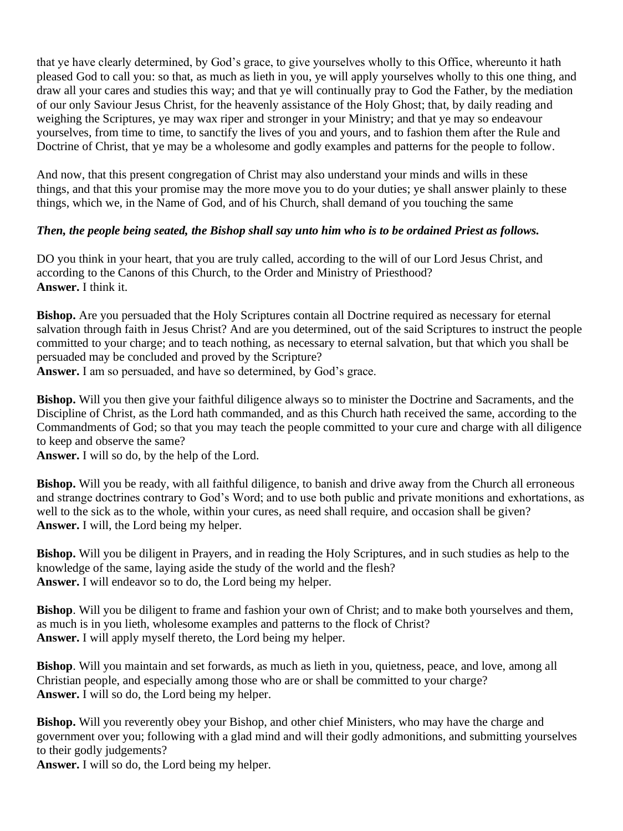that ye have clearly determined, by God's grace, to give yourselves wholly to this Office, whereunto it hath pleased God to call you: so that, as much as lieth in you, ye will apply yourselves wholly to this one thing, and draw all your cares and studies this way; and that ye will continually pray to God the Father, by the mediation of our only Saviour Jesus Christ, for the heavenly assistance of the Holy Ghost; that, by daily reading and weighing the Scriptures, ye may wax riper and stronger in your Ministry; and that ye may so endeavour yourselves, from time to time, to sanctify the lives of you and yours, and to fashion them after the Rule and Doctrine of Christ, that ye may be a wholesome and godly examples and patterns for the people to follow.

And now, that this present congregation of Christ may also understand your minds and wills in these things, and that this your promise may the more move you to do your duties; ye shall answer plainly to these things, which we, in the Name of God, and of his Church, shall demand of you touching the same

## *Then, the people being seated, the Bishop shall say unto him who is to be ordained Priest as follows.*

DO you think in your heart, that you are truly called, according to the will of our Lord Jesus Christ, and according to the Canons of this Church, to the Order and Ministry of Priesthood? **Answer.** I think it.

**Bishop.** Are you persuaded that the Holy Scriptures contain all Doctrine required as necessary for eternal salvation through faith in Jesus Christ? And are you determined, out of the said Scriptures to instruct the people committed to your charge; and to teach nothing, as necessary to eternal salvation, but that which you shall be persuaded may be concluded and proved by the Scripture? **Answer.** I am so persuaded, and have so determined, by God's grace.

**Bishop.** Will you then give your faithful diligence always so to minister the Doctrine and Sacraments, and the Discipline of Christ, as the Lord hath commanded, and as this Church hath received the same, according to the Commandments of God; so that you may teach the people committed to your cure and charge with all diligence to keep and observe the same?

**Answer.** I will so do, by the help of the Lord.

**Bishop.** Will you be ready, with all faithful diligence, to banish and drive away from the Church all erroneous and strange doctrines contrary to God's Word; and to use both public and private monitions and exhortations, as well to the sick as to the whole, within your cures, as need shall require, and occasion shall be given? **Answer.** I will, the Lord being my helper.

**Bishop.** Will you be diligent in Prayers, and in reading the Holy Scriptures, and in such studies as help to the knowledge of the same, laying aside the study of the world and the flesh? **Answer.** I will endeavor so to do, the Lord being my helper.

**Bishop**. Will you be diligent to frame and fashion your own of Christ; and to make both yourselves and them, as much is in you lieth, wholesome examples and patterns to the flock of Christ? **Answer.** I will apply myself thereto, the Lord being my helper.

**Bishop**. Will you maintain and set forwards, as much as lieth in you, quietness, peace, and love, among all Christian people, and especially among those who are or shall be committed to your charge? **Answer.** I will so do, the Lord being my helper.

**Bishop.** Will you reverently obey your Bishop, and other chief Ministers, who may have the charge and government over you; following with a glad mind and will their godly admonitions, and submitting yourselves to their godly judgements?

**Answer.** I will so do, the Lord being my helper.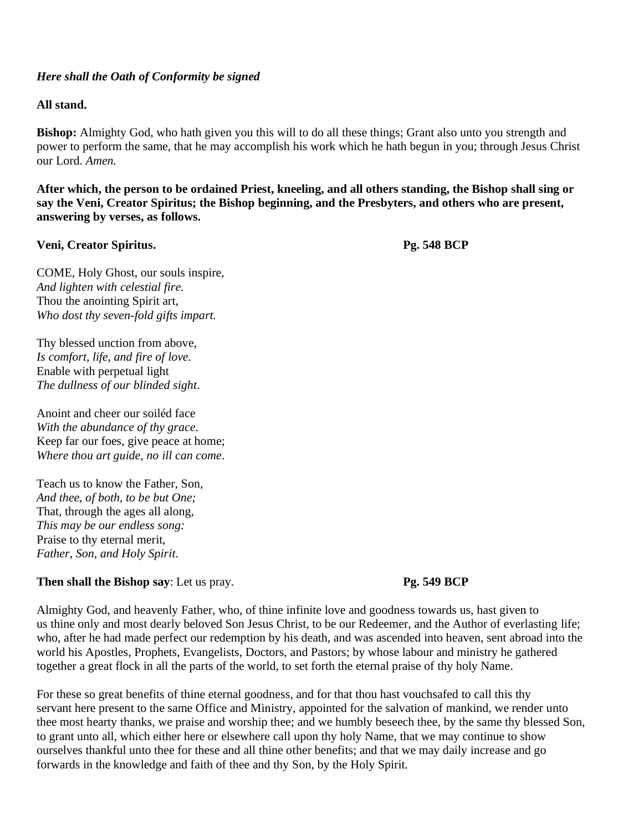### *Here shall the Oath of Conformity be signed*

### **All stand.**

**Bishop:** Almighty God, who hath given you this will to do all these things; Grant also unto you strength and power to perform the same, that he may accomplish his work which he hath begun in you; through Jesus Christ our Lord. *Amen.*

**After which, the person to be ordained Priest, kneeling, and all others standing, the Bishop shall sing or say the Veni, Creator Spiritus; the Bishop beginning, and the Presbyters, and others who are present, answering by verses, as follows.**

### **Veni, Creator Spiritus. Pg. 548 BCP**

COME, Holy Ghost, our souls inspire, *And lighten with celestial fire.* Thou the anointing Spirit art, *Who dost thy seven-fold gifts impart.*

Thy blessed unction from above, *Is comfort, life, and fire of love.* Enable with perpetual light *The dullness of our blinded sight*.

Anoint and cheer our soiléd face *With the abundance of thy grace*. Keep far our foes, give peace at home; *Where thou art guide, no ill can come*.

Teach us to know the Father, Son, *And thee, of both, to be but One;* That, through the ages all along, *This may be our endless song:* Praise to thy eternal merit, *Father, Son, and Holy Spirit*.

### **Then shall the Bishop say:** Let us pray. **Pg.** 549 BCP

Almighty God, and heavenly Father, who, of thine infinite love and goodness towards us, hast given to us thine only and most dearly beloved Son Jesus Christ, to be our Redeemer, and the Author of everlasting life; who, after he had made perfect our redemption by his death, and was ascended into heaven, sent abroad into the world his Apostles, Prophets, Evangelists, Doctors, and Pastors; by whose labour and ministry he gathered together a great flock in all the parts of the world, to set forth the eternal praise of thy holy Name.

For these so great benefits of thine eternal goodness, and for that thou hast vouchsafed to call this thy servant here present to the same Office and Ministry, appointed for the salvation of mankind, we render unto thee most hearty thanks, we praise and worship thee; and we humbly beseech thee, by the same thy blessed Son, to grant unto all, which either here or elsewhere call upon thy holy Name, that we may continue to show ourselves thankful unto thee for these and all thine other benefits; and that we may daily increase and go forwards in the knowledge and faith of thee and thy Son, by the Holy Spirit.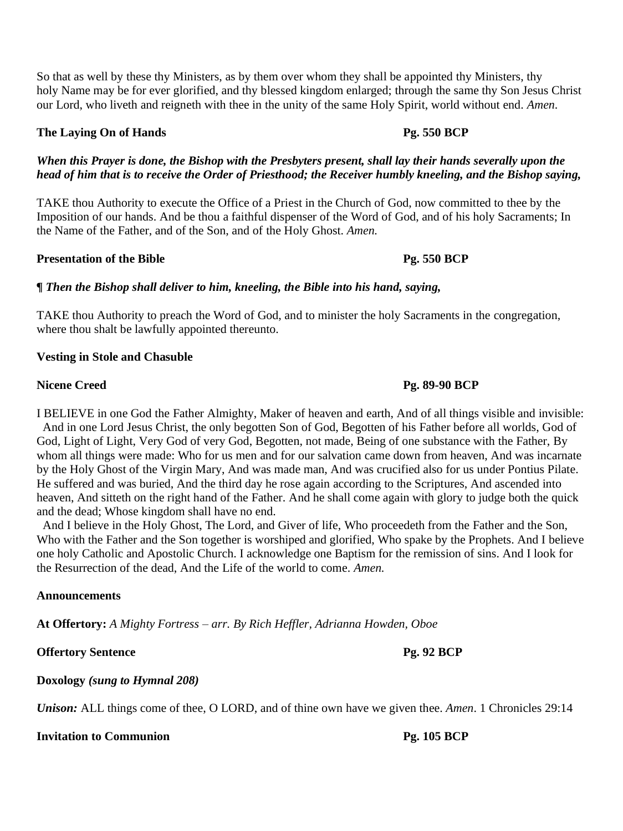So that as well by these thy Ministers, as by them over whom they shall be appointed thy Ministers, thy holy Name may be for ever glorified, and thy blessed kingdom enlarged; through the same thy Son Jesus Christ our Lord, who liveth and reigneth with thee in the unity of the same Holy Spirit, world without end. *Amen.*

### **The Laying On of Hands Pg. 550 BCP**

### *When this Prayer is done, the Bishop with the Presbyters present, shall lay their hands severally upon the head of him that is to receive the Order of Priesthood; the Receiver humbly kneeling, and the Bishop saying,*

TAKE thou Authority to execute the Office of a Priest in the Church of God, now committed to thee by the Imposition of our hands. And be thou a faithful dispenser of the Word of God, and of his holy Sacraments; In the Name of the Father, and of the Son, and of the Holy Ghost. *Amen.*

### **Presentation of the Bible Pg. 550 BCP**

### *¶ Then the Bishop shall deliver to him, kneeling, the Bible into his hand, saying,*

TAKE thou Authority to preach the Word of God, and to minister the holy Sacraments in the congregation, where thou shalt be lawfully appointed thereunto.

### **Vesting in Stole and Chasuble**

I BELIEVE in one God the Father Almighty, Maker of heaven and earth, And of all things visible and invisible: And in one Lord Jesus Christ, the only begotten Son of God, Begotten of his Father before all worlds, God of God, Light of Light, Very God of very God, Begotten, not made, Being of one substance with the Father, By whom all things were made: Who for us men and for our salvation came down from heaven, And was incarnate by the Holy Ghost of the Virgin Mary, And was made man, And was crucified also for us under Pontius Pilate. He suffered and was buried, And the third day he rose again according to the Scriptures, And ascended into heaven, And sitteth on the right hand of the Father. And he shall come again with glory to judge both the quick and the dead; Whose kingdom shall have no end.

And I believe in the Holy Ghost, The Lord, and Giver of life, Who proceedeth from the Father and the Son, Who with the Father and the Son together is worshiped and glorified, Who spake by the Prophets. And I believe one holy Catholic and Apostolic Church. I acknowledge one Baptism for the remission of sins. And I look for the Resurrection of the dead, And the Life of the world to come. *Amen.*

### **Announcements**

**At Offertory:** *A Mighty Fortress – arr. By Rich Heffler, Adrianna Howden, Oboe*

**Offertory Sentence Pg. 92 BCP**

**Doxology** *(sung to Hymnal 208)*

*Unison:* ALL things come of thee, O LORD, and of thine own have we given thee. *Amen*. 1 Chronicles 29:14

### **Invitation to Communion Pg. 105 BCP**

### **Nicene Creed Pg. 89-90 BCP**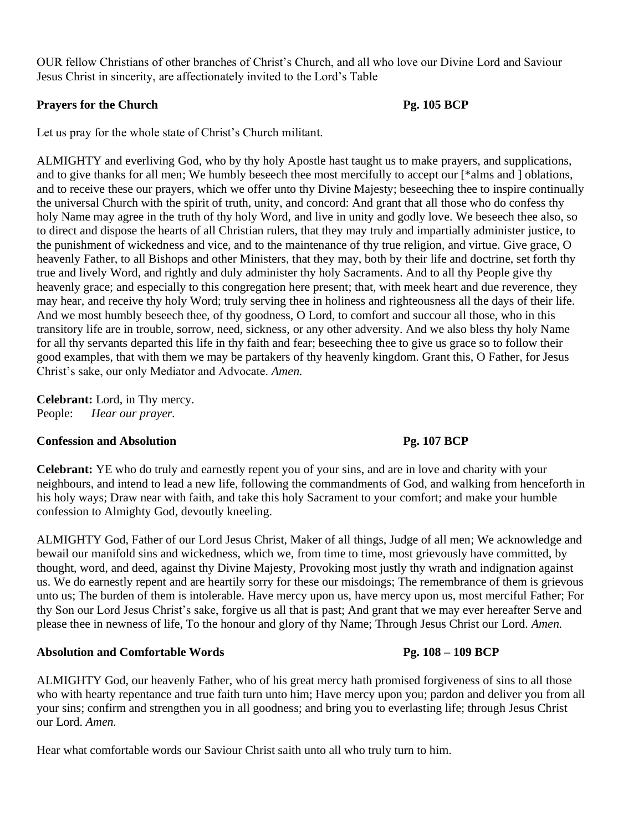OUR fellow Christians of other branches of Christ's Church, and all who love our Divine Lord and Saviour Jesus Christ in sincerity, are affectionately invited to the Lord's Table

## **Prayers for the Church Pg. 105 BCP**

Let us pray for the whole state of Christ's Church militant.

ALMIGHTY and everliving God, who by thy holy Apostle hast taught us to make prayers, and supplications, and to give thanks for all men; We humbly beseech thee most mercifully to accept our [\*alms and ] oblations, and to receive these our prayers, which we offer unto thy Divine Majesty; beseeching thee to inspire continually the universal Church with the spirit of truth, unity, and concord: And grant that all those who do confess thy holy Name may agree in the truth of thy holy Word, and live in unity and godly love. We beseech thee also, so to direct and dispose the hearts of all Christian rulers, that they may truly and impartially administer justice, to the punishment of wickedness and vice, and to the maintenance of thy true religion, and virtue. Give grace, O heavenly Father, to all Bishops and other Ministers, that they may, both by their life and doctrine, set forth thy true and lively Word, and rightly and duly administer thy holy Sacraments. And to all thy People give thy heavenly grace; and especially to this congregation here present; that, with meek heart and due reverence, they may hear, and receive thy holy Word; truly serving thee in holiness and righteousness all the days of their life. And we most humbly beseech thee, of thy goodness, O Lord, to comfort and succour all those, who in this transitory life are in trouble, sorrow, need, sickness, or any other adversity. And we also bless thy holy Name for all thy servants departed this life in thy faith and fear; beseeching thee to give us grace so to follow their good examples, that with them we may be partakers of thy heavenly kingdom. Grant this, O Father, for Jesus Christ's sake, our only Mediator and Advocate. *Amen.*

**Celebrant:** Lord, in Thy mercy. People: *Hear our prayer.*

### **Confession and Absolution Pg. 107 BCP**

**Celebrant:** YE who do truly and earnestly repent you of your sins, and are in love and charity with your neighbours, and intend to lead a new life, following the commandments of God, and walking from henceforth in his holy ways; Draw near with faith, and take this holy Sacrament to your comfort; and make your humble confession to Almighty God, devoutly kneeling.

ALMIGHTY God, Father of our Lord Jesus Christ, Maker of all things, Judge of all men; We acknowledge and bewail our manifold sins and wickedness, which we, from time to time, most grievously have committed, by thought, word, and deed, against thy Divine Majesty, Provoking most justly thy wrath and indignation against us. We do earnestly repent and are heartily sorry for these our misdoings; The remembrance of them is grievous unto us; The burden of them is intolerable. Have mercy upon us, have mercy upon us, most merciful Father; For thy Son our Lord Jesus Christ's sake, forgive us all that is past; And grant that we may ever hereafter Serve and please thee in newness of life, To the honour and glory of thy Name; Through Jesus Christ our Lord. *Amen.*

### **Absolution and Comfortable Words Pg. 108 – 109 BCP**

ALMIGHTY God, our heavenly Father, who of his great mercy hath promised forgiveness of sins to all those who with hearty repentance and true faith turn unto him; Have mercy upon you; pardon and deliver you from all your sins; confirm and strengthen you in all goodness; and bring you to everlasting life; through Jesus Christ our Lord. *Amen.*

Hear what comfortable words our Saviour Christ saith unto all who truly turn to him.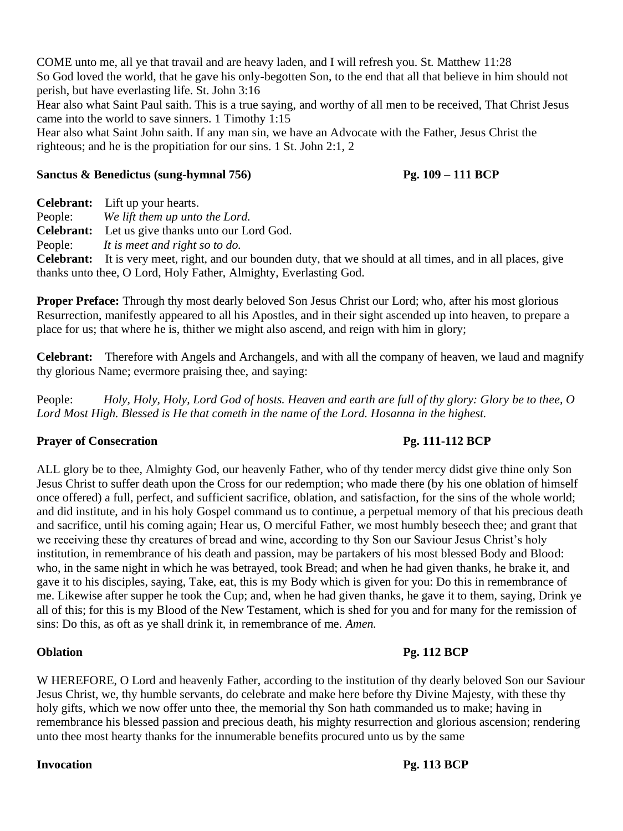COME unto me, all ye that travail and are heavy laden, and I will refresh you. St. Matthew 11:28 So God loved the world, that he gave his only-begotten Son, to the end that all that believe in him should not perish, but have everlasting life. St. John 3:16

Hear also what Saint Paul saith. This is a true saying, and worthy of all men to be received, That Christ Jesus came into the world to save sinners. 1 Timothy 1:15

Hear also what Saint John saith. If any man sin, we have an Advocate with the Father, Jesus Christ the righteous; and he is the propitiation for our sins. 1 St. John 2:1, 2

## **Sanctus & Benedictus (sung-hymnal 756) Pg. 109 – 111 BCP**

**Celebrant:** Lift up your hearts.

People: *We lift them up unto the Lord.* 

**Celebrant:** Let us give thanks unto our Lord God.

People: *It is meet and right so to do.*

**Celebrant:** It is very meet, right, and our bounden duty, that we should at all times, and in all places, give thanks unto thee, O Lord, Holy Father, Almighty, Everlasting God.

**Proper Preface:** Through thy most dearly beloved Son Jesus Christ our Lord; who, after his most glorious Resurrection, manifestly appeared to all his Apostles, and in their sight ascended up into heaven, to prepare a place for us; that where he is, thither we might also ascend, and reign with him in glory;

**Celebrant:** Therefore with Angels and Archangels, and with all the company of heaven, we laud and magnify thy glorious Name; evermore praising thee, and saying:

People: *Holy, Holy, Holy, Lord God of hosts. Heaven and earth are full of thy glory: Glory be to thee, O Lord Most High. Blessed is He that cometh in the name of the Lord. Hosanna in the highest.* 

# **Prayer of Consecration Pg. 111-112 BCP**

ALL glory be to thee, Almighty God, our heavenly Father, who of thy tender mercy didst give thine only Son Jesus Christ to suffer death upon the Cross for our redemption; who made there (by his one oblation of himself once offered) a full, perfect, and sufficient sacrifice, oblation, and satisfaction, for the sins of the whole world; and did institute, and in his holy Gospel command us to continue, a perpetual memory of that his precious death and sacrifice, until his coming again; Hear us, O merciful Father, we most humbly beseech thee; and grant that we receiving these thy creatures of bread and wine, according to thy Son our Saviour Jesus Christ's holy institution, in remembrance of his death and passion, may be partakers of his most blessed Body and Blood: who, in the same night in which he was betrayed, took Bread; and when he had given thanks, he brake it, and gave it to his disciples, saying, Take, eat, this is my Body which is given for you: Do this in remembrance of me. Likewise after supper he took the Cup; and, when he had given thanks, he gave it to them, saying, Drink ye all of this; for this is my Blood of the New Testament, which is shed for you and for many for the remission of sins: Do this, as oft as ye shall drink it, in remembrance of me. *Amen.*

# **Oblation Pg. 112 BCP**

W HEREFORE, O Lord and heavenly Father, according to the institution of thy dearly beloved Son our Saviour Jesus Christ, we, thy humble servants, do celebrate and make here before thy Divine Majesty, with these thy holy gifts, which we now offer unto thee, the memorial thy Son hath commanded us to make; having in remembrance his blessed passion and precious death, his mighty resurrection and glorious ascension; rendering unto thee most hearty thanks for the innumerable benefits procured unto us by the same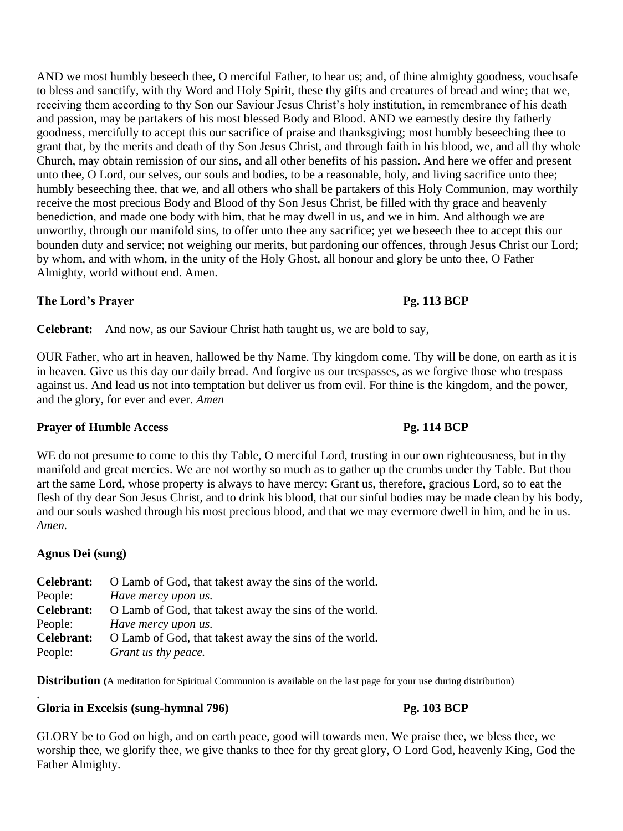AND we most humbly beseech thee, O merciful Father, to hear us; and, of thine almighty goodness, vouchsafe to bless and sanctify, with thy Word and Holy Spirit, these thy gifts and creatures of bread and wine; that we, receiving them according to thy Son our Saviour Jesus Christ's holy institution, in remembrance of his death and passion, may be partakers of his most blessed Body and Blood. AND we earnestly desire thy fatherly goodness, mercifully to accept this our sacrifice of praise and thanksgiving; most humbly beseeching thee to grant that, by the merits and death of thy Son Jesus Christ, and through faith in his blood, we, and all thy whole Church, may obtain remission of our sins, and all other benefits of his passion. And here we offer and present unto thee, O Lord, our selves, our souls and bodies, to be a reasonable, holy, and living sacrifice unto thee; humbly beseeching thee, that we, and all others who shall be partakers of this Holy Communion, may worthily receive the most precious Body and Blood of thy Son Jesus Christ, be filled with thy grace and heavenly benediction, and made one body with him, that he may dwell in us, and we in him. And although we are unworthy, through our manifold sins, to offer unto thee any sacrifice; yet we beseech thee to accept this our bounden duty and service; not weighing our merits, but pardoning our offences, through Jesus Christ our Lord; by whom, and with whom, in the unity of the Holy Ghost, all honour and glory be unto thee, O Father Almighty, world without end. Amen.

## **The Lord's Prayer Pg. 113 BCP**

**Celebrant:** And now, as our Saviour Christ hath taught us, we are bold to say,

OUR Father, who art in heaven, hallowed be thy Name. Thy kingdom come. Thy will be done, on earth as it is in heaven. Give us this day our daily bread. And forgive us our trespasses, as we forgive those who trespass against us. And lead us not into temptation but deliver us from evil. For thine is the kingdom, and the power, and the glory, for ever and ever. *Amen*

## **Prayer of Humble Access Pg. 114 BCP**

WE do not presume to come to this thy Table, O merciful Lord, trusting in our own righteousness, but in thy manifold and great mercies. We are not worthy so much as to gather up the crumbs under thy Table. But thou art the same Lord, whose property is always to have mercy: Grant us, therefore, gracious Lord, so to eat the flesh of thy dear Son Jesus Christ, and to drink his blood, that our sinful bodies may be made clean by his body, and our souls washed through his most precious blood, and that we may evermore dwell in him, and he in us. *Amen.*

## **Agnus Dei (sung)**

|            | <b>Celebrant:</b> O Lamb of God, that takest away the sins of the world. |
|------------|--------------------------------------------------------------------------|
| People:    | Have mercy upon us.                                                      |
| Celebrant: | O Lamb of God, that takest away the sins of the world.                   |
| People:    | Have mercy upon us.                                                      |
| Celebrant: | O Lamb of God, that takest away the sins of the world.                   |
| People:    | Grant us thy peace.                                                      |

**Distribution** (A meditation for Spiritual Communion is available on the last page for your use during distribution)

### . **Gloria in Excelsis (sung-hymnal 796) Pg. 103 BCP**

GLORY be to God on high, and on earth peace, good will towards men. We praise thee, we bless thee, we worship thee, we glorify thee, we give thanks to thee for thy great glory, O Lord God, heavenly King, God the Father Almighty.